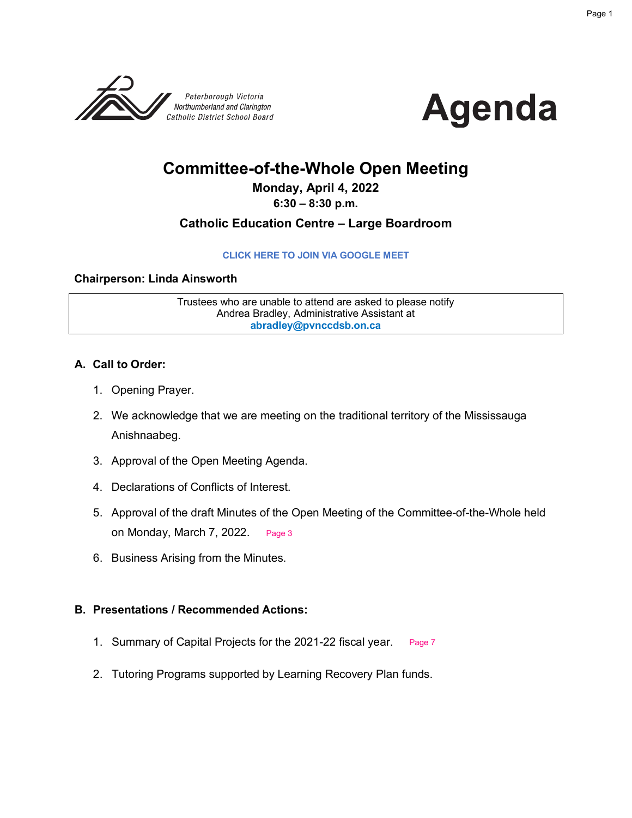



## **Committee-of-the-Whole Open Meeting**

#### **Monday, April 4, 2022**

**6:30 – 8:30 p.m.**

#### **Catholic Education Centre – Large Boardroom**

#### **[CLICK HERE TO JOIN VIA GOOGLE MEET](meet.google.com/ddf-czei-zvs)**

#### **Chairperson: Linda Ainsworth**

Trustees who are unable to attend are asked to please notify Andrea Bradley, Administrative Assistant at **abradley@pvnccdsb.on.ca**

#### **A. Call to Order:**

- 1. Opening Prayer.
- 2. We acknowledge that we are meeting on the traditional territory of the Mississauga Anishnaabeg.
- 3. Approval of the Open Meeting Agenda.
- 4. Declarations of Conflicts of Interest.
- 5. Approval of the draft Minutes of the Open Meeting of the Committee-of-the-Whole held on Monday, March 7, 2022. [Page 3](#page-2-0)
- 6. Business Arising from the Minutes.

#### **B. Presentations / Recommended Actions:**

- 1. Summary of Capital Projects for the 2021-22 fiscal year. [Page 7](#page-6-0)
- 2. Tutoring Programs supported by Learning Recovery Plan funds.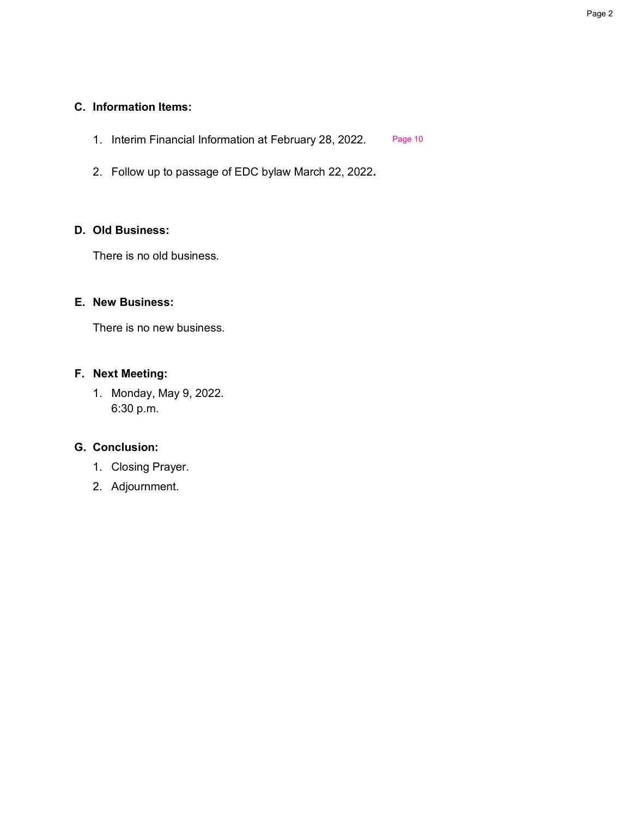#### **C. Information Items:**

- 1. Interim Financial Information at February 28, 2022. [Page 10](#page-9-0)
- 2. Follow up to passage of EDC bylaw March 22, 2022**.**

#### **D. Old Business:**

There is no old business.

#### **E. New Business:**

There is no new business.

#### **F. Next Meeting:**

1. Monday, May 9, 2022. 6:30 p.m.

#### **G. Conclusion:**

- 1. Closing Prayer.
- 2. Adjournment.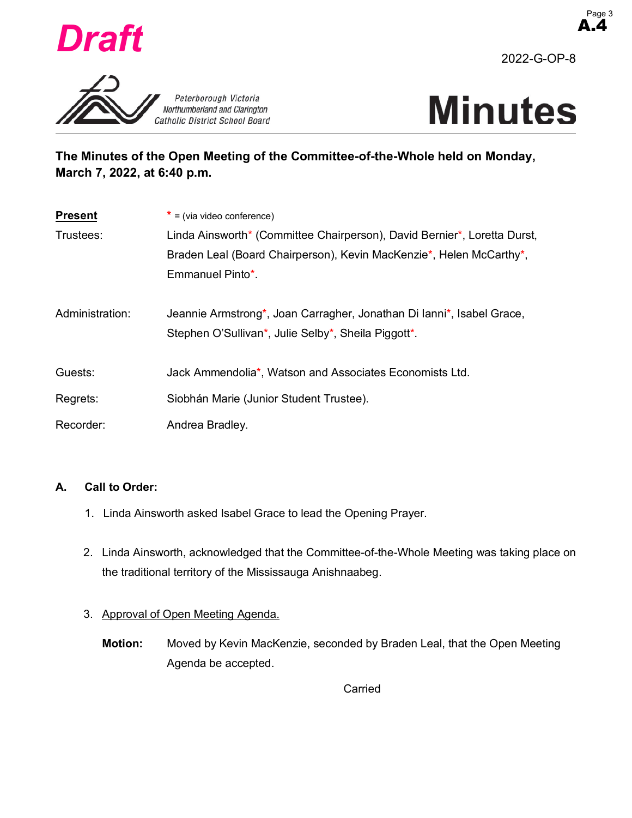<span id="page-2-0"></span>

A.4

2022-G-OP-8





### **The Minutes of the Open Meeting of the Committee-of-the-Whole held on Monday, March 7, 2022, at 6:40 p.m.**

| <b>Present</b>  | $*$ = (via video conference)                                             |  |  |  |  |  |  |
|-----------------|--------------------------------------------------------------------------|--|--|--|--|--|--|
| Trustees:       | Linda Ainsworth* (Committee Chairperson), David Bernier*, Loretta Durst, |  |  |  |  |  |  |
|                 | Braden Leal (Board Chairperson), Kevin MacKenzie*, Helen McCarthy*,      |  |  |  |  |  |  |
|                 | Emmanuel Pinto*.                                                         |  |  |  |  |  |  |
|                 |                                                                          |  |  |  |  |  |  |
| Administration: | Jeannie Armstrong*, Joan Carragher, Jonathan Di lanni*, Isabel Grace,    |  |  |  |  |  |  |
|                 | Stephen O'Sullivan*, Julie Selby*, Sheila Piggott*.                      |  |  |  |  |  |  |
|                 |                                                                          |  |  |  |  |  |  |
| Guests:         | Jack Ammendolia*, Watson and Associates Economists Ltd.                  |  |  |  |  |  |  |
| Regrets:        | Siobhán Marie (Junior Student Trustee).                                  |  |  |  |  |  |  |
|                 |                                                                          |  |  |  |  |  |  |
| Recorder:       | Andrea Bradley.                                                          |  |  |  |  |  |  |

#### **A. Call to Order:**

- 1. Linda Ainsworth asked Isabel Grace to lead the Opening Prayer.
- 2. Linda Ainsworth, acknowledged that the Committee-of-the-Whole Meeting was taking place on the traditional territory of the Mississauga Anishnaabeg.

#### 3. Approval of Open Meeting Agenda.

**Motion:** Moved by Kevin MacKenzie, seconded by Braden Leal, that the Open Meeting Agenda be accepted.

Carried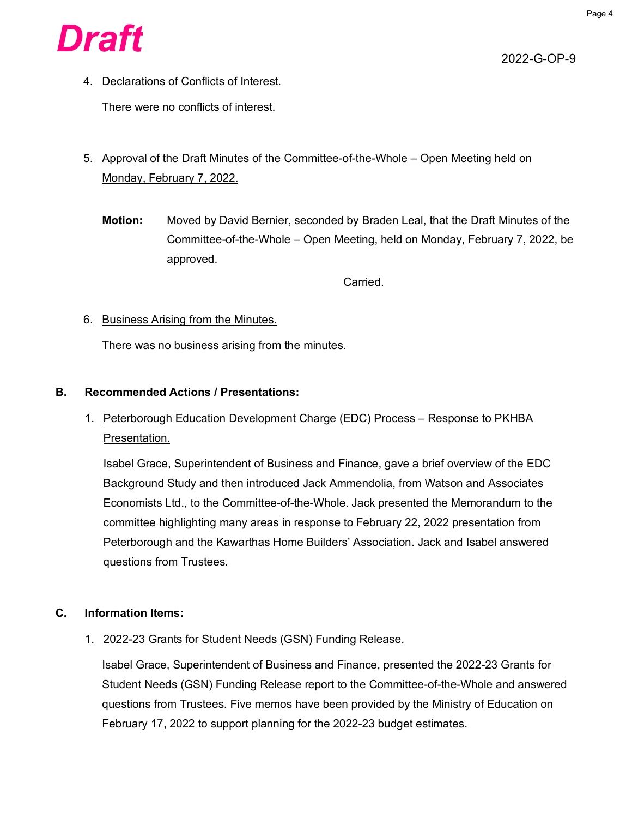

2022-G-OP-9

4. Declarations of Conflicts of Interest.

There were no conflicts of interest.

- 5. Approval of the Draft Minutes of the Committee-of-the-Whole Open Meeting held on Monday, February 7, 2022.
	- **Motion:** Moved by David Bernier, seconded by Braden Leal, that the Draft Minutes of the Committee-of-the-Whole – Open Meeting, held on Monday, February 7, 2022, be approved.

Carried.

#### 6. Business Arising from the Minutes.

There was no business arising from the minutes.

#### **B. Recommended Actions / Presentations:**

1. Peterborough Education Development Charge (EDC) Process - Response to PKHBA Presentation.

Isabel Grace, Superintendent of Business and Finance, gave a brief overview of the EDC Background Study and then introduced Jack Ammendolia, from Watson and Associates Economists Ltd., to the Committee-of-the-Whole. Jack presented the Memorandum to the committee highlighting many areas in response to February 22, 2022 presentation from Peterborough and the Kawarthas Home Builders' Association. Jack and Isabel answered questions from Trustees.

#### **C. Information Items:**

1. 2022-23 Grants for Student Needs (GSN) Funding Release.

Isabel Grace, Superintendent of Business and Finance, presented the 2022-23 Grants for Student Needs (GSN) Funding Release report to the Committee-of-the-Whole and answered questions from Trustees. Five memos have been provided by the Ministry of Education on February 17, 2022 to support planning for the 2022-23 budget estimates.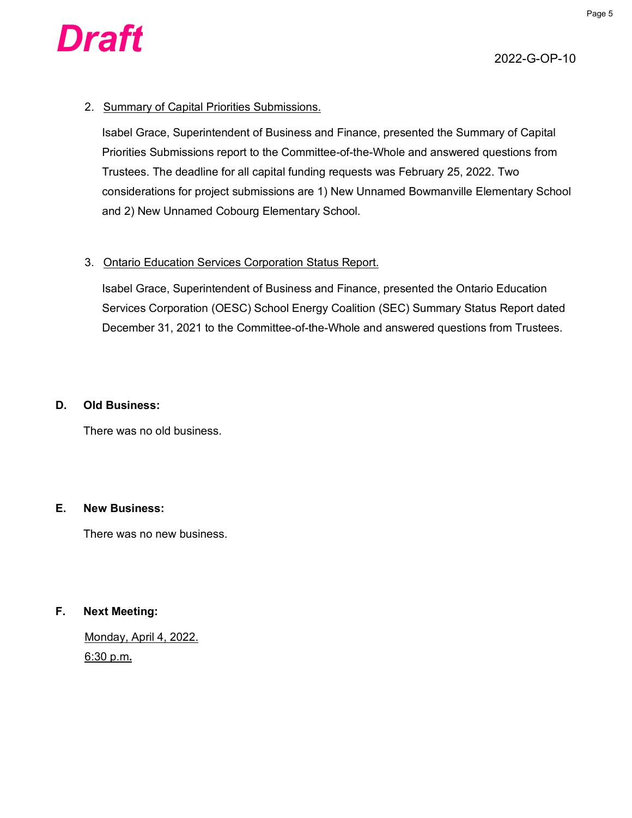

#### 2. Summary of Capital Priorities Submissions.

Isabel Grace, Superintendent of Business and Finance, presented the Summary of Capital Priorities Submissions report to the Committee-of-the-Whole and answered questions from Trustees. The deadline for all capital funding requests was February 25, 2022. Two considerations for project submissions are 1) New Unnamed Bowmanville Elementary School and 2) New Unnamed Cobourg Elementary School.

#### 3. Ontario Education Services Corporation Status Report.

Isabel Grace, Superintendent of Business and Finance, presented the Ontario Education Services Corporation (OESC) School Energy Coalition (SEC) Summary Status Report dated December 31, 2021 to the Committee-of-the-Whole and answered questions from Trustees.

#### **D. Old Business:**

There was no old business.

#### **E. New Business:**

There was no new business.

#### **F. Next Meeting:**

Monday, April 4, 2022. 6:30 p.m**.**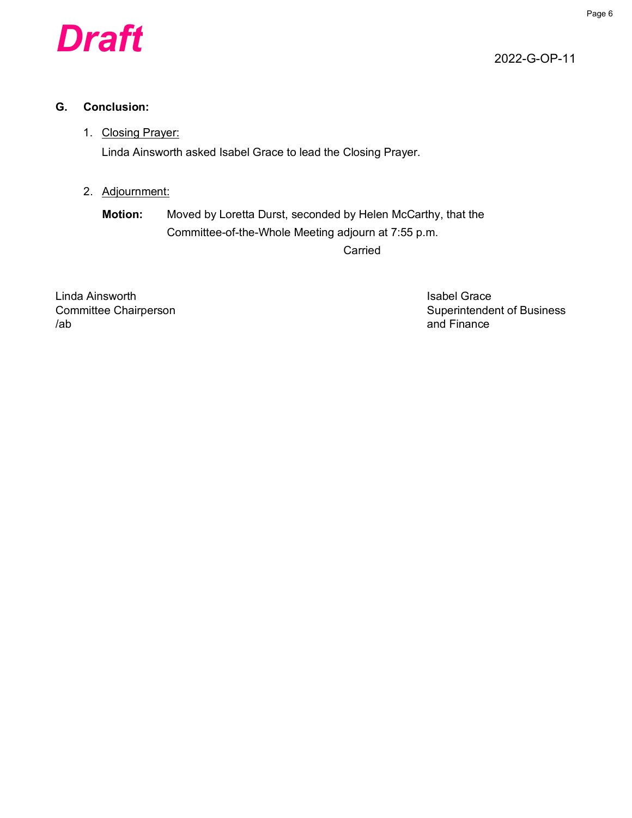

2022-G-OP-11

#### **G. Conclusion:**

#### 1. Closing Prayer:

Linda Ainsworth asked Isabel Grace to lead the Closing Prayer.

#### 2. Adjournment:

**Motion:** Moved by Loretta Durst, seconded by Helen McCarthy, that the Committee-of-the-Whole Meeting adjourn at 7:55 p.m.

Carried

Linda Ainsworth **Islands** Crace Controller Controller Crace Isabel Grace /ab and Finance

Committee Chairperson **Superintendent of Business** Superintendent of Business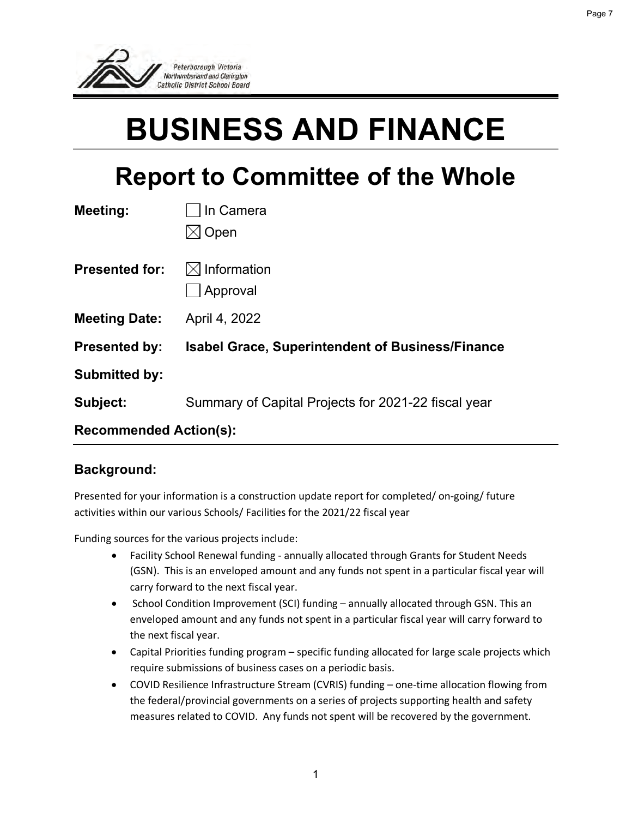<span id="page-6-0"></span>

# **BUSINESS AND FINANCE**

Page 7

# **Report to Committee of the Whole**

| Meeting:                      | In Camera                                               |  |  |  |  |  |  |  |
|-------------------------------|---------------------------------------------------------|--|--|--|--|--|--|--|
|                               | Open                                                    |  |  |  |  |  |  |  |
|                               |                                                         |  |  |  |  |  |  |  |
| <b>Presented for:</b>         | $\boxtimes$ Information                                 |  |  |  |  |  |  |  |
|                               | Approval                                                |  |  |  |  |  |  |  |
| <b>Meeting Date:</b>          | April 4, 2022                                           |  |  |  |  |  |  |  |
| <b>Presented by:</b>          | <b>Isabel Grace, Superintendent of Business/Finance</b> |  |  |  |  |  |  |  |
| <b>Submitted by:</b>          |                                                         |  |  |  |  |  |  |  |
| Subject:                      | Summary of Capital Projects for 2021-22 fiscal year     |  |  |  |  |  |  |  |
| <b>Recommended Action(s):</b> |                                                         |  |  |  |  |  |  |  |

#### **Background:**

Presented for your information is a construction update report for completed/ on-going/ future activities within our various Schools/ Facilities for the 2021/22 fiscal year

Funding sources for the various projects include:

- Facility School Renewal funding annually allocated through Grants for Student Needs (GSN). This is an enveloped amount and any funds not spent in a particular fiscal year will carry forward to the next fiscal year.
- School Condition Improvement (SCI) funding annually allocated through GSN. This an enveloped amount and any funds not spent in a particular fiscal year will carry forward to the next fiscal year.
- Capital Priorities funding program specific funding allocated for large scale projects which require submissions of business cases on a periodic basis.
- COVID Resilience Infrastructure Stream (CVRIS) funding one-time allocation flowing from the federal/provincial governments on a series of projects supporting health and safety measures related to COVID. Any funds not spent will be recovered by the government.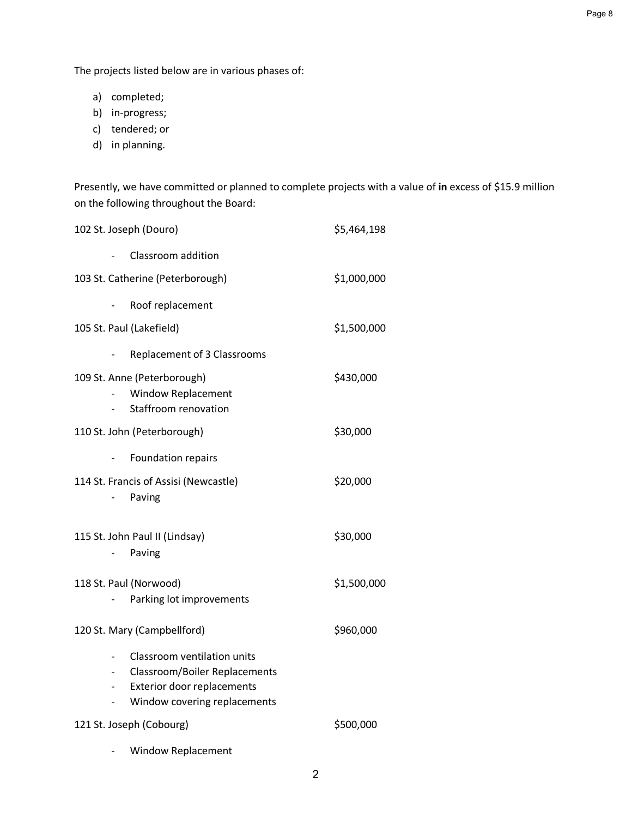The projects listed below are in various phases of:

- a) completed;
- b) in-progress;
- c) tendered; or
- d) in planning.

Presently, we have committed or planned to complete projects with a value of **in** excess of \$15.9 million on the following throughout the Board:

| 102 St. Joseph (Douro)                                                                                                                   | \$5,464,198 |  |  |  |
|------------------------------------------------------------------------------------------------------------------------------------------|-------------|--|--|--|
| Classroom addition                                                                                                                       |             |  |  |  |
| 103 St. Catherine (Peterborough)                                                                                                         | \$1,000,000 |  |  |  |
| Roof replacement                                                                                                                         |             |  |  |  |
| 105 St. Paul (Lakefield)                                                                                                                 | \$1,500,000 |  |  |  |
| <b>Replacement of 3 Classrooms</b>                                                                                                       |             |  |  |  |
| 109 St. Anne (Peterborough)<br><b>Window Replacement</b><br>Staffroom renovation                                                         | \$430,000   |  |  |  |
| 110 St. John (Peterborough)                                                                                                              | \$30,000    |  |  |  |
| Foundation repairs                                                                                                                       |             |  |  |  |
| 114 St. Francis of Assisi (Newcastle)<br>Paving                                                                                          | \$20,000    |  |  |  |
| 115 St. John Paul II (Lindsay)<br>Paving                                                                                                 | \$30,000    |  |  |  |
| 118 St. Paul (Norwood)<br>Parking lot improvements                                                                                       | \$1,500,000 |  |  |  |
| 120 St. Mary (Campbellford)                                                                                                              | \$960,000   |  |  |  |
| Classroom ventilation units<br><b>Classroom/Boiler Replacements</b><br><b>Exterior door replacements</b><br>Window covering replacements |             |  |  |  |
| 121 St. Joseph (Cobourg)                                                                                                                 | \$500,000   |  |  |  |
| <b>Window Replacement</b>                                                                                                                |             |  |  |  |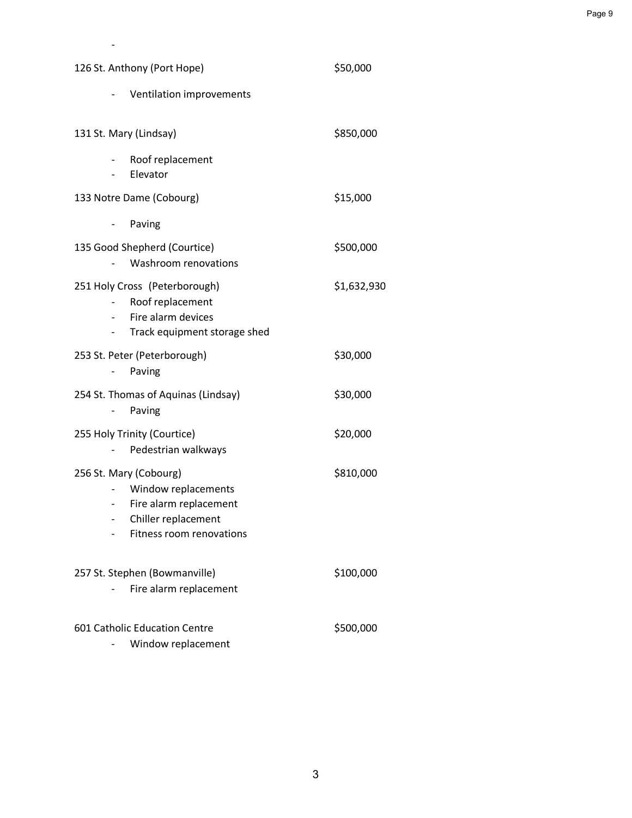| 126 St. Anthony (Port Hope)                                                                                                | \$50,000    |  |  |  |
|----------------------------------------------------------------------------------------------------------------------------|-------------|--|--|--|
| Ventilation improvements                                                                                                   |             |  |  |  |
| 131 St. Mary (Lindsay)                                                                                                     | \$850,000   |  |  |  |
| Roof replacement<br>Elevator                                                                                               |             |  |  |  |
| 133 Notre Dame (Cobourg)                                                                                                   | \$15,000    |  |  |  |
| Paving                                                                                                                     |             |  |  |  |
| 135 Good Shepherd (Courtice)<br>Washroom renovations                                                                       | \$500,000   |  |  |  |
| 251 Holy Cross (Peterborough)<br>Roof replacement<br>Fire alarm devices<br>Track equipment storage shed                    | \$1,632,930 |  |  |  |
| 253 St. Peter (Peterborough)<br>Paving                                                                                     | \$30,000    |  |  |  |
| 254 St. Thomas of Aquinas (Lindsay)<br>Paving                                                                              | \$30,000    |  |  |  |
| 255 Holy Trinity (Courtice)<br>Pedestrian walkways                                                                         | \$20,000    |  |  |  |
| 256 St. Mary (Cobourg)<br>Window replacements<br>Fire alarm replacement<br>Chiller replacement<br>Fitness room renovations | \$810,000   |  |  |  |
| 257 St. Stephen (Bowmanville)<br>Fire alarm replacement                                                                    | \$100,000   |  |  |  |
| 601 Catholic Education Centre<br>Window replacement                                                                        | \$500,000   |  |  |  |

 $\sim$  -  $\sim$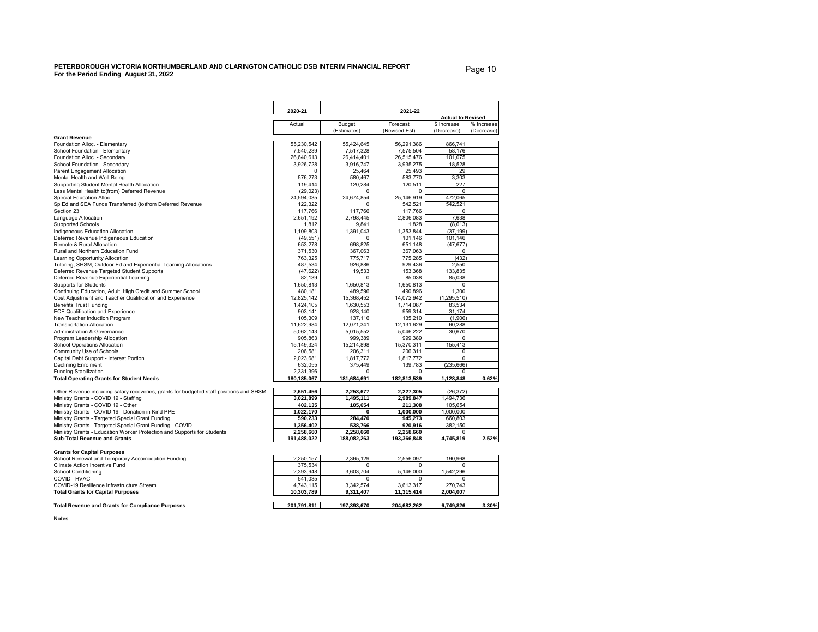#### <span id="page-9-0"></span>**PETERBOROUGH VICTORIA NORTHUMBERLAND AND CLARINGTON CATHOLIC DSB INTERIM FINANCIAL REPORT For the Period Ending August 31, 2022**

Page 10

|                                                                                                                        | 2020-21                 |                                     |                         |                   |            |  |  |
|------------------------------------------------------------------------------------------------------------------------|-------------------------|-------------------------------------|-------------------------|-------------------|------------|--|--|
|                                                                                                                        |                         | 2021-22<br><b>Actual to Revised</b> |                         |                   |            |  |  |
|                                                                                                                        | Actual                  | Budget                              | Forecast                | \$ Increase       | % Increase |  |  |
|                                                                                                                        |                         | (Estimates)                         | (Revised Est)           | (Decrease)        | (Decrease) |  |  |
| <b>Grant Revenue</b>                                                                                                   |                         |                                     |                         |                   |            |  |  |
| Foundation Alloc. - Elementary                                                                                         | 55.230.542              | 55.424.645                          | 56.291.386              | 866.741           |            |  |  |
| School Foundation - Elementary                                                                                         | 7,540,239<br>26,640,613 | 7,517,328<br>26,414,401             | 7,575,504<br>26,515,476 | 58,176<br>101,075 |            |  |  |
| Foundation Alloc. - Secondary<br>School Foundation - Secondary                                                         | 3,926,728               | 3.916.747                           | 3.935.275               | 18,528            |            |  |  |
| Parent Engagement Allocation                                                                                           | 0                       | 25,464                              | 25,493                  | 29                |            |  |  |
| Mental Health and Well-Being                                                                                           | 576,273                 | 580,467                             | 583,770                 | 3,303             |            |  |  |
| Supporting Student Mental Health Allocation                                                                            | 119,414                 | 120,284                             | 120,511                 | 227               |            |  |  |
| Less Mental Health to(from) Deferred Revenue                                                                           | (29, 023)               | $\Omega$                            | $\Omega$                | 0                 |            |  |  |
| Special Education Alloc.                                                                                               | 24,594,035              | 24,674,854                          | 25,146,919              | 472,065           |            |  |  |
| Sp Ed and SEA Funds Transferred (to)from Deferred Revenue                                                              | 122,322                 | $\Omega$                            | 542,521                 | 542,521           |            |  |  |
| Section 23                                                                                                             | 117.766                 | 117,766                             | 117.766                 | $\mathbf 0$       |            |  |  |
| Language Allocation                                                                                                    | 2,651,192               | 2,798,445                           | 2,806,083               | 7,638             |            |  |  |
| Supported Schools                                                                                                      | 1,812                   | 9,841                               | 1,828                   | (8,013)           |            |  |  |
| Indigeneous Education Allocation                                                                                       | 1.109.803               | 1,391,043                           | 1,353,844               | (37, 199)         |            |  |  |
| Deferred Revenue Indigeneous Education                                                                                 | (49, 551)               | r                                   | 101,146                 | 101,146           |            |  |  |
| Remote & Rural Allocation                                                                                              | 653,278                 | 698,825                             | 651,148                 | (47, 677)         |            |  |  |
| Rural and Northern Education Fund                                                                                      | 371,530                 | 367,063                             | 367,063                 | $\mathbf 0$       |            |  |  |
| Learning Opportunity Allocation                                                                                        | 763.325                 | 775.717                             | 775.285                 | (432)             |            |  |  |
| Tutoring, SHSM, Outdoor Ed and Experiential Learning Allocations                                                       | 487,534                 | 926,886                             | 929,436                 | 2.550             |            |  |  |
| Deferred Revenue Targeted Student Supports                                                                             | (47, 622)               | 19,533                              | 153,368                 | 133,835           |            |  |  |
| Deferred Revenue Experiential Learning                                                                                 | 82,139                  | $\Omega$                            | 85,038                  | 85.038            |            |  |  |
| Supports for Students                                                                                                  | 1,650,813               | 1,650,813                           | 1,650,813               | 0<br>1,300        |            |  |  |
| Continuing Education, Adult, High Credit and Summer School<br>Cost Adjustment and Teacher Qualification and Experience | 480,181<br>12,825,142   | 489,596<br>15,368,452               | 490,896<br>14,072,942   | (1, 295, 510)     |            |  |  |
| <b>Benefits Trust Funding</b>                                                                                          | 1,424,105               | 1,630,553                           | 1,714,087               | 83,534            |            |  |  |
| <b>ECE Qualification and Experience</b>                                                                                | 903,141                 | 928,140                             | 959,314                 | 31,174            |            |  |  |
| New Teacher Induction Program                                                                                          | 105.309                 | 137.116                             | 135.210                 | (1.906)           |            |  |  |
| <b>Transportation Allocation</b>                                                                                       | 11,622,984              | 12,071,341                          | 12,131,629              | 60,288            |            |  |  |
| Administration & Governance                                                                                            | 5,062,143               | 5.015.552                           | 5,046,222               | 30,670            |            |  |  |
| Program Leadership Allocation                                                                                          | 905,863                 | 999,389                             | 999,389                 | 0                 |            |  |  |
| School Operations Allocation                                                                                           | 15,149,324              | 15,214,898                          | 15,370,311              | 155,413           |            |  |  |
| Community Use of Schools                                                                                               | 206,581                 | 206,311                             | 206,311                 | 0                 |            |  |  |
| Capital Debt Support - Interest Portion                                                                                | 2,023,681               | 1,817,772                           | 1,817,772               | $\mathbf 0$       |            |  |  |
| <b>Declining Enrolment</b>                                                                                             | 632,055                 | 375,449                             | 139.783                 | (235, 666)        |            |  |  |
| <b>Funding Stabilization</b>                                                                                           | 2,331,396               | C                                   | $\Omega$                | 0                 |            |  |  |
| <b>Total Operating Grants for Student Needs</b>                                                                        | 180,185,067             | 181,684,691                         | 182,813,539             | 1,128,848         | 0.62%      |  |  |
| Other Revenue including salary recoveries, grants for budgeted staff positions and SHSM                                | 2,651,456               | 2,253,677                           | 2,227,305               | (26, 372)         |            |  |  |
| Ministry Grants - COVID 19 - Staffing                                                                                  | 3,021,899               | 1,495,111                           | 2,989,847               | 1,494,736         |            |  |  |
| Ministry Grants - COVID 19 - Other                                                                                     | 402,135                 | 105,654                             | 211,308                 | 105,654           |            |  |  |
| Ministry Grants - COVID 19 - Donation in Kind PPE                                                                      | 1,022,170               | 0                                   | 1,000,000               | 1,000,000         |            |  |  |
| Ministry Grants - Targeted Special Grant Funding                                                                       | 590,233                 | 284,470                             | 945,273                 | 660,803           |            |  |  |
| Ministry Grants - Targeted Special Grant Funding - COVID                                                               | 1,356,402               | 538,766                             | 920,916                 | 382,150           |            |  |  |
| Ministry Grants - Education Worker Protection and Supports for Students                                                | 2,258,660               | 2,258,660                           | 2,258,660               | 0                 |            |  |  |
| <b>Sub-Total Revenue and Grants</b>                                                                                    | 191,488,022             | 188,082,263                         | 193,366,848             | 4,745,819         | 2.52%      |  |  |
| <b>Grants for Capital Purposes</b>                                                                                     |                         |                                     |                         |                   |            |  |  |
| School Renewal and Temporary Accomodation Funding                                                                      | 2,250,157               | 2.365.129                           | 2,556,097               | 190,968           |            |  |  |
| Climate Action Incentive Fund                                                                                          | 375,534                 | 0                                   | 0                       | 0                 |            |  |  |
| School Conditioning                                                                                                    | 2.393.948               | 3.603.704                           | 5.146.000               | 1.542.296         |            |  |  |
| COVID - HVAC                                                                                                           | 541,035                 | 0                                   | 0                       | 0                 |            |  |  |
| COVID-19 Resilience Infrastructure Stream                                                                              | 4,743,115               | 3,342,574                           | 3,613,317               | 270,743           |            |  |  |
| <b>Total Grants for Capital Purposes</b>                                                                               | 10,303,789              | 9,311,407                           | 11,315,414              | 2,004,007         |            |  |  |
| <b>Total Revenue and Grants for Compliance Purposes</b>                                                                | 201,791,811             | 197,393,670                         | 204,682,262             | 6,749,826         | 3.30%      |  |  |